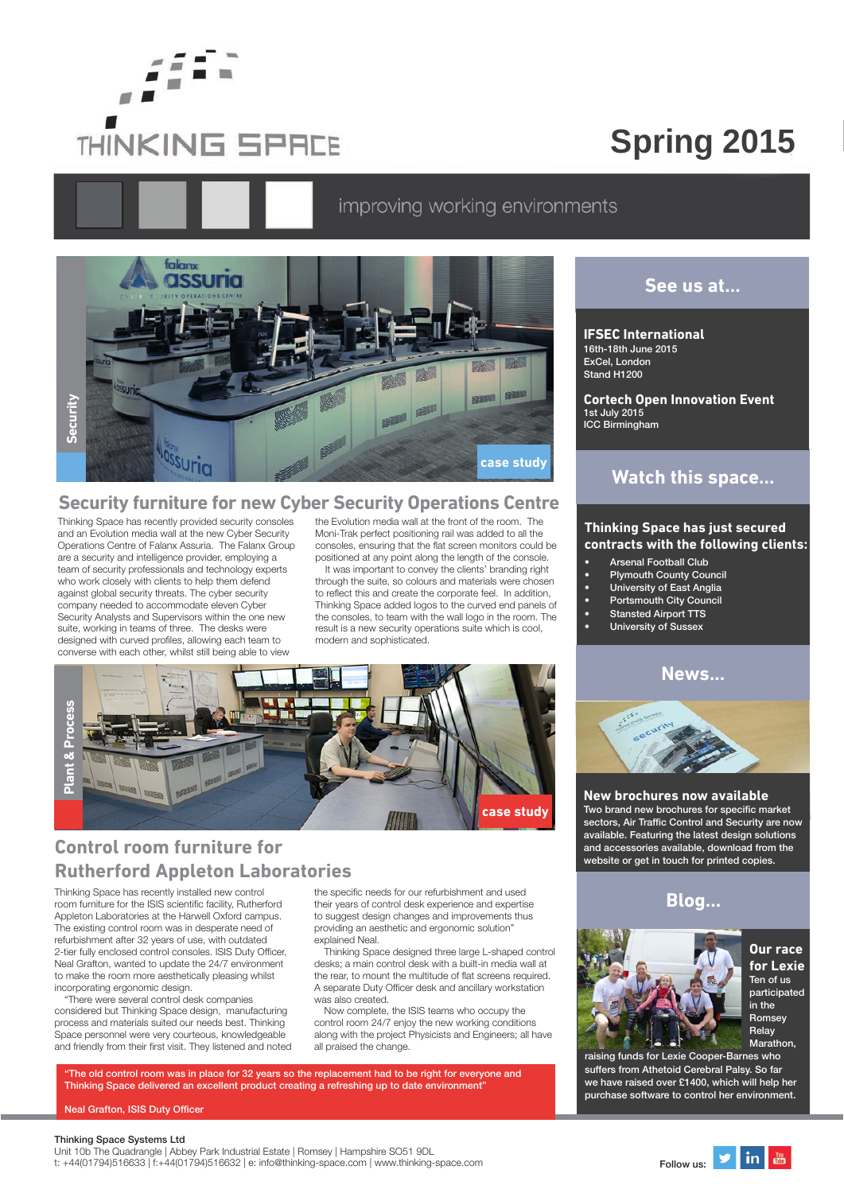

# **Spring 2015**

# improving working environments



Thinking Space has recently provided security consoles and an Evolution media wall at the new Cyber Security Operations Centre of Falanx Assuria. The Falanx Group are a security and intelligence provider, employing a team of security professionals and technology experts who work closely with clients to help them defend against global security threats. The cyber security company needed to accommodate eleven Cyber Security Analysts and Supervisors within the one new suite, working in teams of three. The desks were designed with curved profiles, allowing each team to converse with each other, whilst still being able to view

the Evolution media wall at the front of the room. The Moni-Trak perfect positioning rail was added to all the consoles, ensuring that the flat screen monitors could be positioned at any point along the length of the console.

It was important to convey the clients' branding right through the suite, so colours and materials were chosen to reflect this and create the corporate feel. In addition, Thinking Space added logos to the curved end panels of the consoles, to team with the wall logo in the room. The result is a new security operations suite which is cool, modern and sophisticated.



# **Control room furniture for Rutherford Appleton Laboratories**

Thinking Space has recently installed new control room furniture for the ISIS scientific facility, Rutherford Appleton Laboratories at the Harwell Oxford campus. The existing control room was in desperate need of refurbishment after 32 years of use, with outdated 2-tier fully enclosed control consoles. ISIS Duty Officer, Neal Grafton, wanted to update the 24/7 environment to make the room more aesthetically pleasing whilst incorporating ergonomic design.

"There were several control desk companies considered but Thinking Space design, manufacturing process and materials suited our needs best. Thinking Space personnel were very courteous, knowledgeable and friendly from their first visit. They listened and noted

the specific needs for our refurbishment and used their years of control desk experience and expertise to suggest design changes and improvements thus providing an aesthetic and ergonomic solution" explained Neal.

Thinking Space designed three large L-shaped control desks; a main control desk with a built-in media wall at the rear, to mount the multitude of flat screens required. A separate Duty Officer desk and ancillary workstation was also created.

Now complete, the ISIS teams who occupy the control room 24/7 enjoy the new working conditions along with the project Physicists and Engineers; all have all praised the change.

"The old control room was in place for 32 years so the replacement had to be right for everyone and Thinking Space delivered an excellent product creating a refreshing up to date environment"

Neal Grafton, ISIS Duty Officer

#### Thinking Space Systems Ltd

Unit 10b The Quadrangle | Abbey Park Industrial Estate | Romsey | Hampshire SO51 9DL t: +44(01794)516633 | f:+44(01794)516632 | e: info@thinking-space.com | www.thinking-space.com Follow us:

# **See us at...**

#### **IFSEC International**

16th-18th June 2015 ExCel, London Stand H1200

**Cortech Open Innovation Event** 1st July 2015 ICC Birmingham

# **Watch this space...**

#### **Thinking Space has just secured contracts with the following clients:**

- **Arsenal Football Club**
- Plymouth County Council
- **University of East Anglia**
- Portsmouth City Council
- Stansted Airport TTS
- University of Sussex

# **News...**



#### **New brochures now available**

Two brand new brochures for specific market sectors, Air Traffic Control and Security are now available. Featuring the latest design solutions and accessories available, download from the website or get in touch for printed copies.

### **Blog...**



**Our race for Lexie** Ten of us participated in the Romsey Relay **Marathon** 

raising funds for Lexie Cooper-Barnes who suffers from Athetoid Cerebral Palsy. So far we have raised over £1400, which will help her purchase software to control her environment.